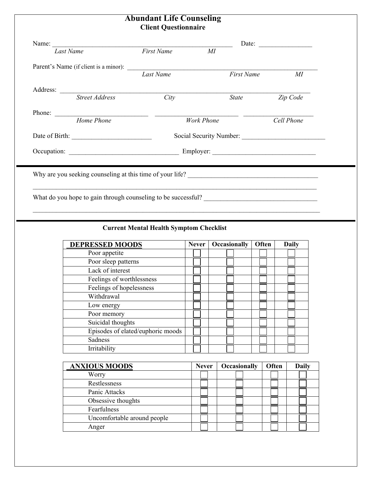## **Abundant Life Counseling Client Questionnaire**

| Name: Tast Name First Name                                                                        |           |                         |               |
|---------------------------------------------------------------------------------------------------|-----------|-------------------------|---------------|
|                                                                                                   |           | MI                      |               |
|                                                                                                   |           |                         |               |
|                                                                                                   | Last Name |                         | First Name MI |
| Address: <u>Street Address</u> City                                                               |           |                         |               |
|                                                                                                   |           | <b>State</b>            | Zip Code      |
|                                                                                                   |           |                         |               |
| Home Phone                                                                                        |           | Work Phone              | Cell Phone    |
|                                                                                                   |           | Social Security Number: |               |
|                                                                                                   |           |                         |               |
|                                                                                                   |           |                         |               |
| Why are you seeking counseling at this time of your life?<br><u>Letting</u> the set of your life? |           |                         |               |
|                                                                                                   |           |                         |               |
| What do you hope to gain through counseling to be successful?                                     |           |                         |               |
|                                                                                                   |           |                         |               |

## **Current Mental Health Symptom Checklist**

| <b>DEPRESSED MOODS</b>            | <b>Never</b> | Occasionally | Often | <b>Daily</b> |
|-----------------------------------|--------------|--------------|-------|--------------|
| Poor appetite                     |              |              |       |              |
| Poor sleep patterns               |              |              |       |              |
| Lack of interest                  |              |              |       |              |
| Feelings of worthlessness         |              |              |       |              |
| Feelings of hopelessness          |              |              |       |              |
| Withdrawal                        |              |              |       |              |
| Low energy                        |              |              |       |              |
| Poor memory                       |              |              |       |              |
| Suicidal thoughts                 |              |              |       |              |
| Episodes of elated/euphoric moods |              |              |       |              |
| Sadness                           |              |              |       |              |
| Irritability                      |              |              |       |              |

| <b>ANXIOUS MOODS</b>        | <b>Never</b> | Occasionally | Often | <b>Daily</b> |
|-----------------------------|--------------|--------------|-------|--------------|
| Worry                       |              |              |       |              |
| Restlessness                |              |              |       |              |
| Panic Attacks               |              |              |       |              |
| Obsessive thoughts          |              |              |       |              |
| Fearfulness                 |              |              |       |              |
| Uncomfortable around people |              |              |       |              |
| Anger                       |              |              |       |              |